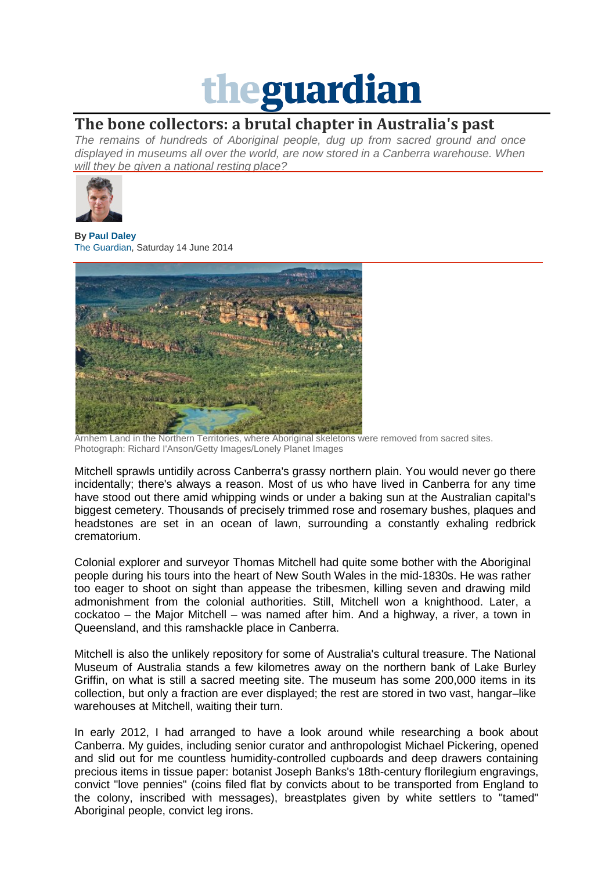

## **The bone collectors: a brutal chapter in Australia's past**

*The remains of hundreds of Aboriginal people, dug up from sacred ground and once displayed in museums all over the world, are now stored in a Canberra warehouse. When will they be given a national resting place?*



**By Paul Daley** The Guardian, Saturday 14 June 2014



Arnhem Land in the Northern Territories, where Aboriginal skeletons were removed from sacred sites. Photograph: Richard I'Anson/Getty Images/Lonely Planet Images

Mitchell sprawls untidily across Canberra's grassy northern plain. You would never go there incidentally; there's always a reason. Most of us who have lived in Canberra for any time have stood out there amid whipping winds or under a baking sun at the Australian capital's biggest cemetery. Thousands of precisely trimmed rose and rosemary bushes, plaques and headstones are set in an ocean of lawn, surrounding a constantly exhaling redbrick crematorium.

Colonial explorer and surveyor Thomas Mitchell had quite some bother with the Aboriginal people during his tours into the heart of New South Wales in the mid-1830s. He was rather too eager to shoot on sight than appease the tribesmen, killing seven and drawing mild admonishment from the colonial authorities. Still, Mitchell won a knighthood. Later, a cockatoo – the Major Mitchell – was named after him. And a highway, a river, a town in Queensland, and this ramshackle place in Canberra.

Mitchell is also the unlikely repository for some of Australia's cultural treasure. The National [Museum of Australia](http://www.nma.gov.au/) stands a few kilometres away on the northern bank of Lake Burley Griffin, on what is still a sacred meeting site. The museum has some 200,000 items in its collection, but only a fraction are ever displayed; the rest are stored in two vast, hangar–like warehouses at Mitchell, waiting their turn.

In early 2012, I had arranged to have a look around while researching a book about Canberra. My guides, including senior curator and anthropologist Michael Pickering, opened and slid out for me countless humidity-controlled cupboards and deep drawers containing precious items in tissue paper: botanist Joseph Banks's 18th-century florilegium engravings, convict "love pennies" (coins filed flat by convicts about to be transported from England to the colony, inscribed with messages), breastplates given by white settlers to "tamed" Aboriginal people, convict leg irons.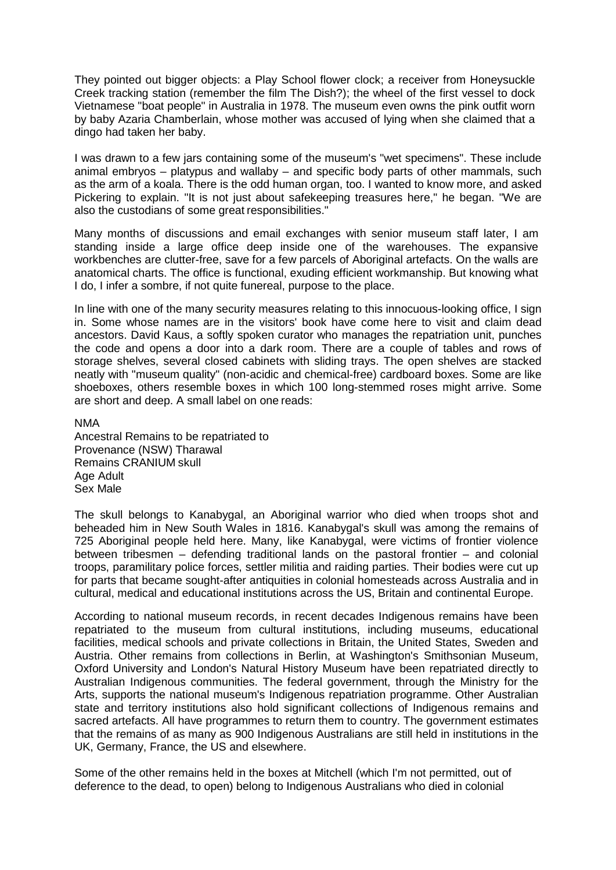They pointed out bigger objects: a Play School flower clock; a receiver from Honeysuckle [Creek tracking station](http://en.wikipedia.org/wiki/Honeysuckle_Creek_Tracking_Station) (remember the film The Dish?); the wheel of the first vessel to dock Vietnamese "boat people" in Australia in 1978. The museum even owns the pink outfit worn by baby Azaria Chamberlain, whose mother was accused of lying when she claimed that a dingo had taken her baby.

I was drawn to a few jars containing some of the museum's "wet specimens". These include animal embryos – platypus and wallaby – and specific body parts of other mammals, such as the arm of a koala. There is the odd human organ, too. I wanted to know more, and asked Pickering to explain. "It is not just about safekeeping treasures here," he began. "We are also the custodians of some great responsibilities."

Many months of discussions and email exchanges with senior museum staff later, I am standing inside a large office deep inside one of the warehouses. The expansive workbenches are clutter-free, save for a few parcels of Aboriginal artefacts. On the walls are anatomical charts. The office is functional, exuding efficient workmanship. But knowing what I do, I infer a sombre, if not quite funereal, purpose to the place.

In line with one of the many security measures relating to this innocuous-looking office, I sign in. Some whose names are in the visitors' book have come here to visit and claim dead ancestors. David Kaus, a softly spoken curator who manages the repatriation unit, punches the code and opens a door into a dark room. There are a couple of tables and rows of storage shelves, several closed cabinets with sliding trays. The open shelves are stacked neatly with "museum quality" (non-acidic and chemical-free) cardboard boxes. Some are like shoeboxes, others resemble boxes in which 100 long-stemmed roses might arrive. Some are short and deep. A small label on one reads:

NMA Ancestral Remains to be repatriated to Provenance (NSW) Tharawal Remains CRANIUM skull Age Adult Sex Male

The skull belongs to Kanabygal, an Aboriginal warrior who died when troops shot and beheaded him in New South Wales in 1816. Kanabygal's skull was among the remains of 725 Aboriginal people held here. Many, like Kanabygal, were victims of frontier violence between tribesmen – defending traditional lands on the pastoral frontier – and colonial troops, paramilitary police forces, settler militia and raiding parties. Their bodies were cut up for parts that became sought-after antiquities in colonial homesteads across Australia and in cultural, medical and educational institutions across the US, Britain and continental Europe.

According to national museum records, in recent decades Indigenous remains have been repatriated to the museum from cultural institutions, including museums, educational facilities, medical schools and private collections in Britain, the United States, Sweden and Austria. Other remains from collections in Berlin, at Washington's Smithsonian Museum, Oxford University and London's Natural History Museum have been repatriated directly to Australian Indigenous communities. The federal government, through the Ministry for the Arts, supports the national museum's Indigenous repatriation programme. Other Australian state and territory institutions also hold significant collections of Indigenous remains and sacred artefacts. All have programmes to return them to country. The government estimates that the remains of as many as 900 Indigenous Australians are still held in institutions in the UK, Germany, France, the US and elsewhere.

Some of the other remains held in the boxes at Mitchell (which I'm not permitted, out of deference to the dead, to open) belong to Indigenous Australians who died in colonial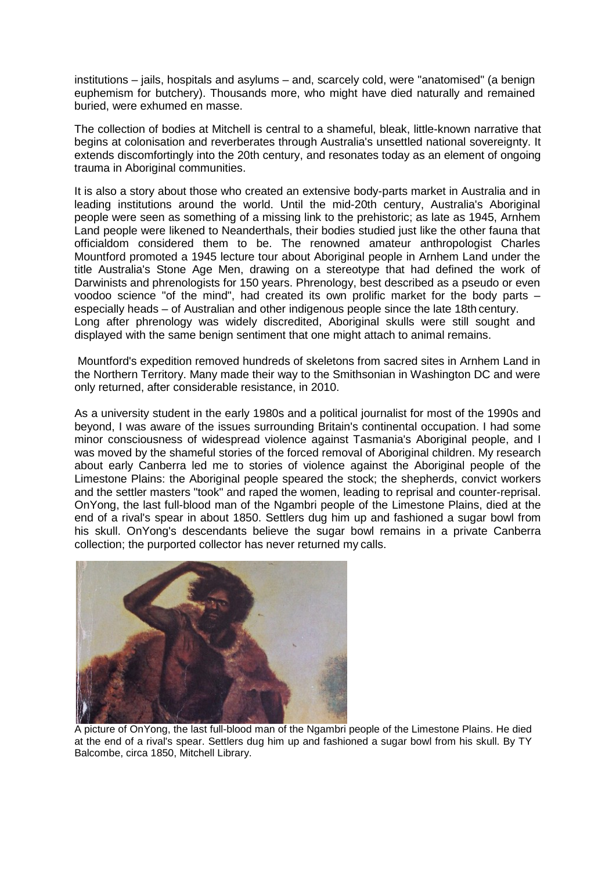institutions – jails, hospitals and asylums – and, scarcely cold, were "anatomised" (a benign euphemism for butchery). Thousands more, who might have died naturally and remained buried, were exhumed en masse.

The collection of bodies at Mitchell is central to a shameful, bleak, little-known narrative that begins at colonisation and reverberates through Australia's unsettled national sovereignty. It extends discomfortingly into the 20th century, and resonates today as an element of ongoing trauma in Aboriginal communities.

It is also a story about those who created an extensive body-parts market in Australia and in leading institutions around the world. Until the mid-20th century, Australia's Aboriginal people were seen as something of a missing link to the prehistoric; as late as 1945, Arnhem [Land](http://en.wikipedia.org/wiki/Arnhem_Land) people were likened to Neanderthals, their bodies studied just like the other fauna that officialdom considered them to be. The renowned amateur anthropologist [Charles](http://en.wikipedia.org/wiki/Charles_P._Mountford)  Mountford promoted a 1945 lecture tour about Aboriginal people in Arnhem Land under the title Australia's Stone Age Men, drawing on a stereotype that had defined the work of Darwinists and phrenologists for 150 years. Phrenology, best described as a pseudo or even voodoo science "of the mind", had created its own prolific market for the body parts – especially heads – of Australian and other indigenous people since the late 18th century. Long after phrenology was widely discredited, Aboriginal skulls were still sought and displayed with the same benign sentiment that one might attach to animal remains.

Mountford's expedition removed hundreds of skeletons from sacred sites in Arnhem Land in the Northern Territory. Many made their way to the Smithsonian in Washington DC and were only returned, after considerable resistance, in 2010.

As a university student in the early 1980s and a political journalist for most of the 1990s and beyond, I was aware of the issues surrounding Britain's continental occupation. I had some minor consciousness of widespread violence against Tasmania's Aboriginal people, and I was moved by the shameful stories of the forced removal of Aboriginal children. My research about early Canberra led me to stories of violence against the Aboriginal people of the Limestone Plains: the Aboriginal people speared the stock; the shepherds, convict workers and the settler masters "took" and raped the women, leading to reprisal and counter-reprisal. OnYong, the last full-blood man of the Ngambri people of the Limestone Plains, died at the end of a rival's spear in about 1850. Settlers dug him up and fashioned a sugar bowl from his skull. OnYong's descendants believe the sugar bowl remains in a private Canberra collection; the purported collector has never returned my calls.



A picture of OnYong, the last full-blood man of the Ngambri people of the Limestone Plains. He died at the end of a rival's spear. Settlers dug him up and fashioned a sugar bowl from his skull. By TY Balcombe, circa 1850, Mitchell Library.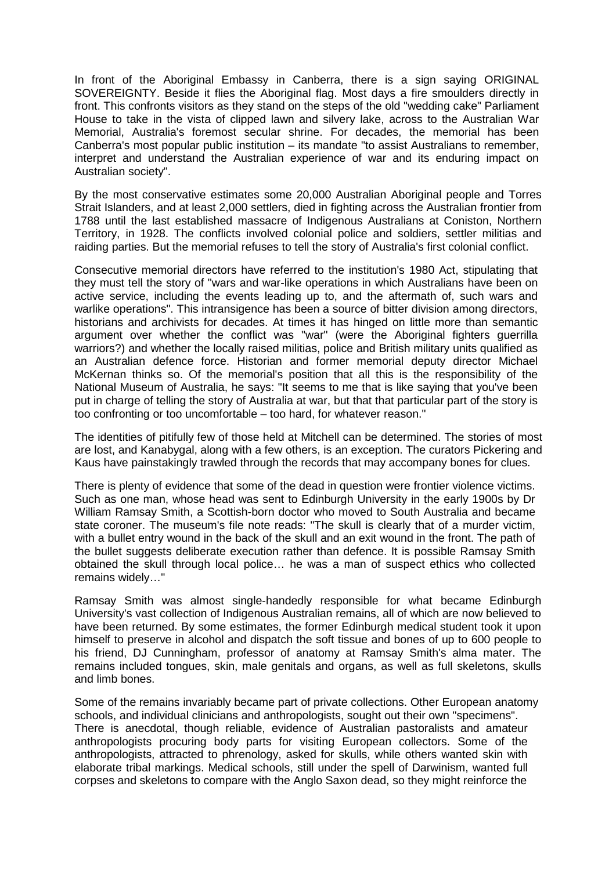In front of the Aboriginal Embassy in Canberra, there is a sign saying ORIGINAL SOVEREIGNTY. Beside it flies the Aboriginal flag. Most days a fire smoulders directly in front. This confronts visitors as they stand on the steps of the old "wedding cake" Parliament House to take in the vista of clipped lawn and silvery lake, across to the Australian War Memorial, Australia's foremost secular shrine. For decades, the memorial has been Canberra's most popular public institution – its mandate "to assist Australians to remember, interpret and understand the Australian experience of war and its enduring impact on Australian society".

By the most conservative estimates some 20,000 Australian Aboriginal people and Torres Strait Islanders, and at least 2,000 settlers, died in fighting across the Australian frontier from 1788 until the last established massacre of Indigenous Australians at Coniston, Northern Territory, in 1928. The conflicts involved colonial police and soldiers, settler militias and raiding parties. But the memorial refuses to tell the story of Australia's first colonial conflict.

Consecutive memorial directors have referred to the institution's 1980 Act, stipulating that they must tell the story of "wars and war-like operations in which Australians have been on active service, including the events leading up to, and the aftermath of, such wars and warlike operations". This intransigence has been a source of bitter division among directors, historians and archivists for decades. At times it has hinged on little more than semantic argument over whether the conflict was "war" (were the Aboriginal fighters guerrilla warriors?) and whether the locally raised militias, police and British military units qualified as an Australian defence force. Historian and former memorial deputy director Michael McKernan thinks so. Of the memorial's position that all this is the responsibility of the National Museum of Australia, he says: "It seems to me that is like saying that you've been put in charge of telling the story of Australia at war, but that that particular part of the story is too confronting or too uncomfortable – too hard, for whatever reason."

The identities of pitifully few of those held at Mitchell can be determined. The stories of most are lost, and Kanabygal, along with a few others, is an exception. The curators Pickering and Kaus have painstakingly trawled through the records that may accompany bones for clues.

There is plenty of evidence that some of the dead in question were frontier violence victims. Such as one man, whose head was sent to Edinburgh University in the early 1900s by Dr William Ramsay Smith, a Scottish-born doctor who moved to South Australia and became state coroner. The museum's file note reads: "The skull is clearly that of a murder victim, with a bullet entry wound in the back of the skull and an exit wound in the front. The path of the bullet suggests deliberate execution rather than defence. It is possible Ramsay Smith obtained the skull through local police… he was a man of suspect ethics who collected remains widely…"

Ramsay Smith was almost single-handedly responsible for what became Edinburgh University's vast collection of Indigenous Australian remains, all of which are now believed to have been returned. By some estimates, the former Edinburgh medical student took it upon himself to preserve in alcohol and dispatch the soft tissue and bones of up to 600 people to his friend, DJ Cunningham, professor of anatomy at Ramsay Smith's alma mater. The remains included tongues, skin, male genitals and organs, as well as full skeletons, skulls and limb bones.

Some of the remains invariably became part of private collections. Other European anatomy schools, and individual clinicians and anthropologists, sought out their own "specimens". There is anecdotal, though reliable, evidence of Australian pastoralists and amateur anthropologists procuring body parts for visiting European collectors. Some of the anthropologists, attracted to phrenology, asked for skulls, while others wanted skin with elaborate tribal markings. Medical schools, still under the spell of Darwinism, wanted full corpses and skeletons to compare with the Anglo Saxon dead, so they might reinforce the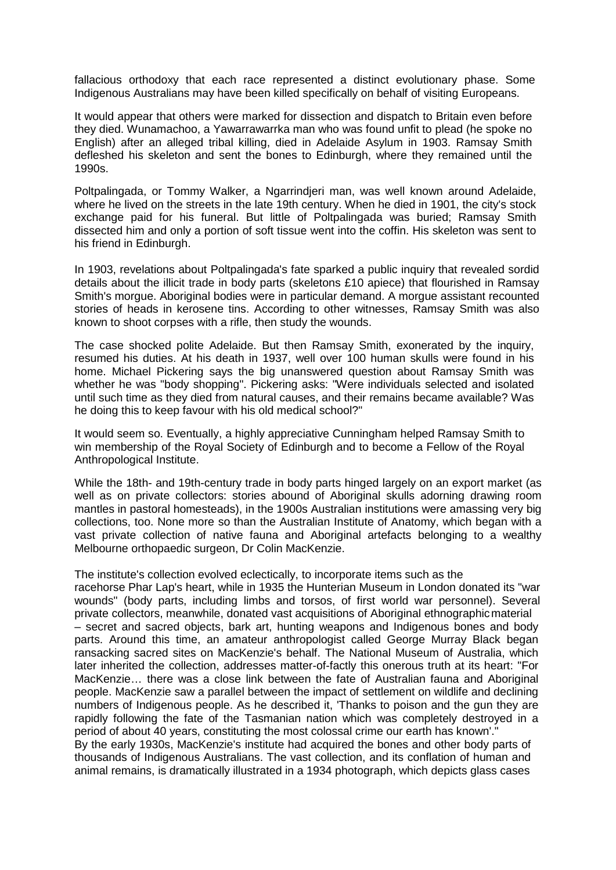fallacious orthodoxy that each race represented a distinct evolutionary phase. Some Indigenous Australians may have been killed specifically on behalf of visiting Europeans.

It would appear that others were marked for dissection and dispatch to Britain even before they died. Wunamachoo, a Yawarrawarrka man who was found unfit to plead (he spoke no English) after an alleged tribal killing, died in Adelaide Asylum in 1903. Ramsay Smith defleshed his skeleton and sent the bones to Edinburgh, where they remained until the 1990s.

Poltpalingada, or Tommy Walker, a Ngarrindjeri man, was well known around Adelaide, where he lived on the streets in the late 19th century. When he died in 1901, the city's stock exchange paid for his funeral. But little of Poltpalingada was buried; Ramsay Smith dissected him and only a portion of soft tissue went into the coffin. His skeleton was sent to his friend in Edinburgh.

In 1903, revelations about Poltpalingada's fate sparked a public inquiry that revealed sordid details about the illicit trade in body parts (skeletons £10 apiece) that flourished in Ramsay Smith's morgue. Aboriginal bodies were in particular demand. A morgue assistant recounted stories of heads in kerosene tins. According to other witnesses, Ramsay Smith was also known to shoot corpses with a rifle, then study the wounds.

The case shocked polite Adelaide. But then Ramsay Smith, exonerated by the inquiry, resumed his duties. At his death in 1937, well over 100 human skulls were found in his home. Michael Pickering says the big unanswered question about Ramsay Smith was whether he was "body shopping". Pickering asks: "Were individuals selected and isolated until such time as they died from natural causes, and their remains became available? Was he doing this to keep favour with his old medical school?"

It would seem so. Eventually, a highly appreciative Cunningham helped Ramsay Smith to win membership of the Royal Society of Edinburgh and to become a Fellow of the Royal Anthropological Institute.

While the 18th- and 19th-century trade in body parts hinged largely on an export market (as well as on private collectors: stories abound of Aboriginal skulls adorning drawing room mantles in pastoral homesteads), in the 1900s Australian institutions were amassing very big collections, too. None more so than the Australian Institute of Anatomy, which began with a vast private collection of native fauna and Aboriginal artefacts belonging to a wealthy Melbourne orthopaedic surgeon, Dr Colin MacKenzie.

The institute's collection evolved eclectically, to incorporate items such as the

racehorse Phar Lap's heart, while in 1935 the Hunterian Museum in London donated its "war wounds" (body parts, including limbs and torsos, of first world war personnel). Several private collectors, meanwhile, donated vast acquisitions of Aboriginal ethnographicmaterial – secret and sacred objects, bark art, hunting weapons and Indigenous bones and body parts. Around this time, an amateur anthropologist called George Murray Black began ransacking sacred sites on MacKenzie's behalf. The National Museum of Australia, which later inherited the collection, addresses matter-of-factly this onerous truth at its heart: "For MacKenzie… there was a close link between the fate of Australian fauna and Aboriginal people. MacKenzie saw a parallel between the impact of settlement on wildlife and declining numbers of Indigenous people. As he described it, 'Thanks to poison and the gun they are rapidly following the fate of the Tasmanian nation which was completely destroyed in a period of about 40 years, constituting the most colossal crime our earth has known'."

By the early 1930s, MacKenzie's institute had acquired the bones and other body parts of thousands of Indigenous Australians. The vast collection, and its conflation of human and animal remains, is dramatically illustrated in a 1934 photograph, which depicts glass cases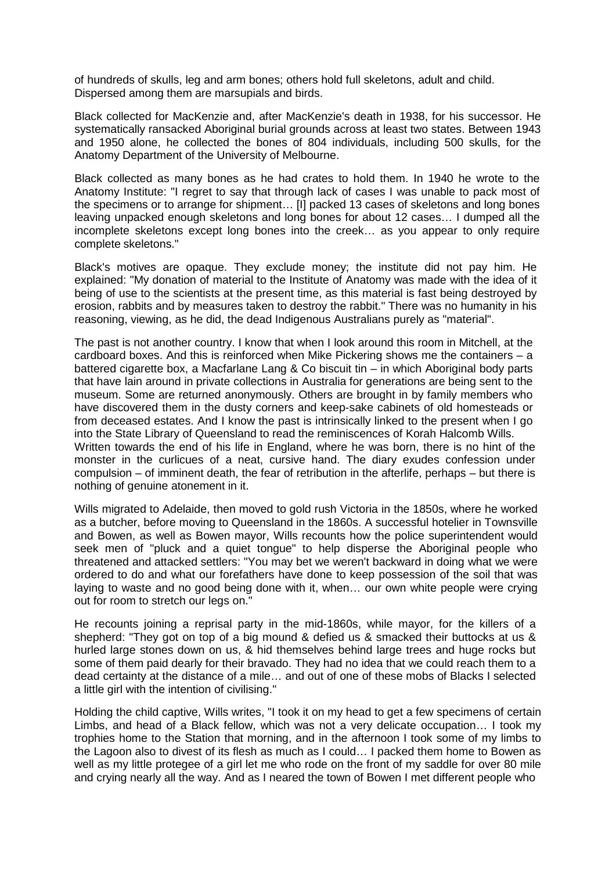of hundreds of skulls, leg and arm bones; others hold full skeletons, adult and child. Dispersed among them are marsupials and birds.

Black collected for MacKenzie and, after MacKenzie's death in 1938, for his successor. He systematically ransacked Aboriginal burial grounds across at least two states. Between 1943 and 1950 alone, he collected the bones of 804 individuals, including 500 skulls, for the Anatomy Department of the University of Melbourne.

Black collected as many bones as he had crates to hold them. In 1940 he wrote to the Anatomy Institute: "I regret to say that through lack of cases I was unable to pack most of the specimens or to arrange for shipment… [I] packed 13 cases of skeletons and long bones leaving unpacked enough skeletons and long bones for about 12 cases… I dumped all the incomplete skeletons except long bones into the creek… as you appear to only require complete skeletons."

Black's motives are opaque. They exclude money; the institute did not pay him. He explained: "My donation of material to the Institute of Anatomy was made with the idea of it being of use to the scientists at the present time, as this material is fast being destroyed by erosion, rabbits and by measures taken to destroy the rabbit." There was no humanity in his reasoning, viewing, as he did, the dead Indigenous Australians purely as "material".

The past is not another country. I know that when I look around this room in Mitchell, at the cardboard boxes. And this is reinforced when Mike Pickering shows me the containers – a battered cigarette box, a Macfarlane Lang & Co biscuit tin – in which Aboriginal body parts that have lain around in private collections in Australia for generations are being sent to the museum. Some are returned anonymously. Others are brought in by family members who have discovered them in the dusty corners and keep-sake cabinets of old homesteads or from deceased estates. And I know the past is intrinsically linked to the present when I go into the State Library of Queensland to read the reminiscences of Korah Halcomb Wills. Written towards the end of his life in England, where he was born, there is no hint of the monster in the curlicues of a neat, cursive hand. The diary exudes confession under compulsion – of imminent death, the fear of retribution in the afterlife, perhaps – but there is nothing of genuine atonement in it.

Wills migrated to Adelaide, then moved to gold rush Victoria in the 1850s, where he worked as a butcher, before moving to Queensland in the 1860s. A successful hotelier in Townsville and Bowen, as well as Bowen mayor, Wills recounts how the police superintendent would seek men of "pluck and a quiet tongue" to help disperse the Aboriginal people who threatened and attacked settlers: "You may bet we weren't backward in doing what we were ordered to do and what our forefathers have done to keep possession of the soil that was laying to waste and no good being done with it, when… our own white people were crying out for room to stretch our legs on."

He recounts joining a reprisal party in the mid-1860s, while mayor, for the killers of a shepherd: "They got on top of a big mound & defied us & smacked their buttocks at us & hurled large stones down on us, & hid themselves behind large trees and huge rocks but some of them paid dearly for their bravado. They had no idea that we could reach them to a dead certainty at the distance of a mile… and out of one of these mobs of Blacks I selected a little girl with the intention of civilising."

Holding the child captive, Wills writes, "I took it on my head to get a few specimens of certain Limbs, and head of a Black fellow, which was not a very delicate occupation… I took my trophies home to the Station that morning, and in the afternoon I took some of my limbs to the Lagoon also to divest of its flesh as much as I could… I packed them home to Bowen as well as my little protegee of a girl let me who rode on the front of my saddle for over 80 mile and crying nearly all the way. And as I neared the town of Bowen I met different people who